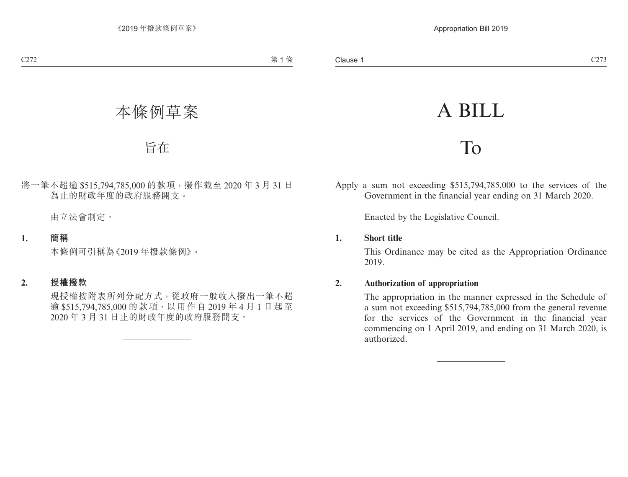# A BILL

## To

Apply a sum not exceeding \$515,794,785,000 to the services of the Government in the financial year ending on 31 March 2020.

Enacted by the Legislative Council.

#### **1. Short title**

This Ordinance may be cited as the Appropriation Ordinance 2019.

#### **2. Authorization of appropriation**

The appropriation in the manner expressed in the Schedule of a sum not exceeding \$515,794,785,000 from the general revenue for the services of the Government in the financial year commencing on 1 April 2019, and ending on 31 March 2020, is authorized.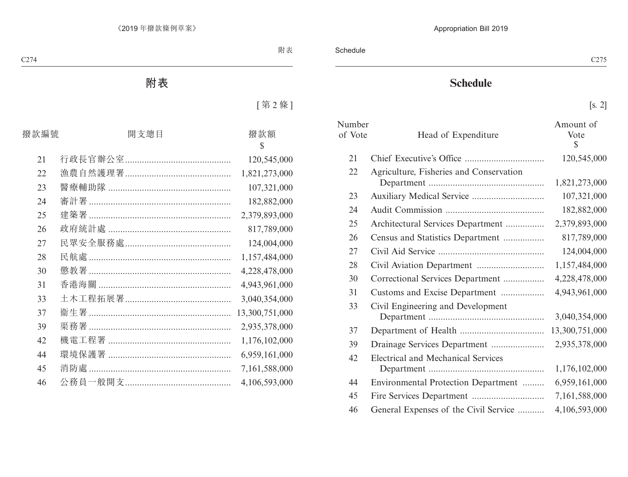### **Schedule**

[s. 2]

| Number<br>of Vote | Head of Expenditure                     | Amount of<br>Vote<br>$\mathbb{S}$ |
|-------------------|-----------------------------------------|-----------------------------------|
| 21                |                                         | 120,545,000                       |
| 22                | Agriculture, Fisheries and Conservation | 1,821,273,000                     |
| 23                |                                         | 107,321,000                       |
| 24                |                                         | 182,882,000                       |
| 25                | Architectural Services Department       | 2,379,893,000                     |
| 26                | Census and Statistics Department        | 817,789,000                       |
| 27                |                                         | 124,004,000                       |
| 28                |                                         | 1,157,484,000                     |
| 30                | Correctional Services Department        | 4,228,478,000                     |
| 31                | Customs and Excise Department           | 4,943,961,000                     |
| 33                | Civil Engineering and Development       | 3,040,354,000                     |
| 37                |                                         | 13,300,751,000                    |
| 39                |                                         | 2,935,378,000                     |
| 42                | Electrical and Mechanical Services      | 1,176,102,000                     |
| 44                | Environmental Protection Department     | 6,959,161,000                     |
| 45                |                                         | 7,161,588,000                     |
| 46                | General Expenses of the Civil Service   | 4,106,593,000                     |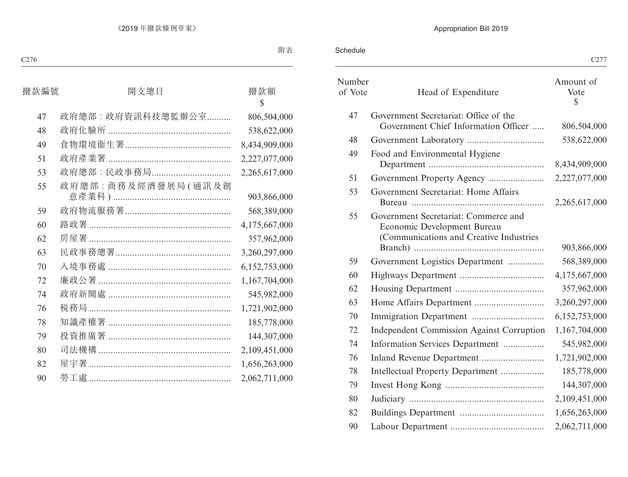Schedule

|                                                                                                                | C <sub>277</sub>        |
|----------------------------------------------------------------------------------------------------------------|-------------------------|
| Head of Expenditure                                                                                            | Amount of<br>Vote<br>S. |
| Government Secretariat: Office of the<br>Government Chief Information Officer                                  | 806,504,000             |
|                                                                                                                | 538,622,000             |
| Food and Environmental Hygiene                                                                                 | 8,434,909,000           |
|                                                                                                                | 2,227,077,000           |
| Government Secretariat: Home Affairs                                                                           | 2,265,617,000           |
| Government Secretariat: Commerce and<br>Economic Development Bureau<br>(Communications and Creative Industries | 903,866,000             |
| Government Logistics Department                                                                                | 568,389,000             |
|                                                                                                                | 4,175,667,000           |
|                                                                                                                | 357,962,000             |
|                                                                                                                | 3,260,297,000           |
|                                                                                                                | 6,152,753,000           |
| <b>Independent Commission Against Corruption</b>                                                               | 1,167,704,000           |
| Information Services Department                                                                                | 545,982,000             |
|                                                                                                                | 1,721,902,000           |
| Intellectual Property Department                                                                               | 185,778,000             |
|                                                                                                                | 144,307,000             |
|                                                                                                                | 2,109,451,000           |
|                                                                                                                | 1,656,263,000           |
|                                                                                                                | 2,062,711,000           |
|                                                                                                                |                         |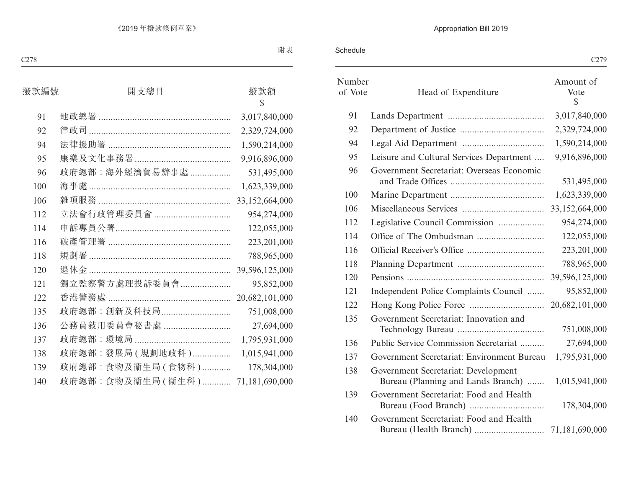Schedule

|                   |                                                                           | C <sub>279</sub>       |
|-------------------|---------------------------------------------------------------------------|------------------------|
| Number<br>of Vote | Head of Expenditure                                                       | Amount of<br>Vote<br>S |
| 91                |                                                                           | 3,017,840,000          |
| 92                |                                                                           | 2,329,724,000          |
| 94                |                                                                           | 1,590,214,000          |
| 95                | Leisure and Cultural Services Department                                  | 9,916,896,000          |
| 96                | Government Secretariat: Overseas Economic                                 | 531,495,000            |
| 100               |                                                                           | 1,623,339,000          |
| 106               |                                                                           | 33,152,664,000         |
| 112               | Legislative Council Commission                                            | 954,274,000            |
| 114               |                                                                           | 122,055,000            |
| 116               |                                                                           | 223, 201, 000          |
| 118               |                                                                           | 788,965,000            |
| 120               |                                                                           |                        |
| 121               | Independent Police Complaints Council                                     | 95,852,000             |
| 122               |                                                                           | 20,682,101,000         |
| 135               | Government Secretariat: Innovation and                                    | 751,008,000            |
| 136               | Public Service Commission Secretariat                                     | 27,694,000             |
| 137               | Government Secretariat: Environment Bureau                                | 1,795,931,000          |
| 138               | Government Secretariat: Development<br>Bureau (Planning and Lands Branch) | 1,015,941,000          |
| 139               | Government Secretariat: Food and Health                                   | 178,304,000            |
| 140               | Government Secretariat: Food and Health                                   |                        |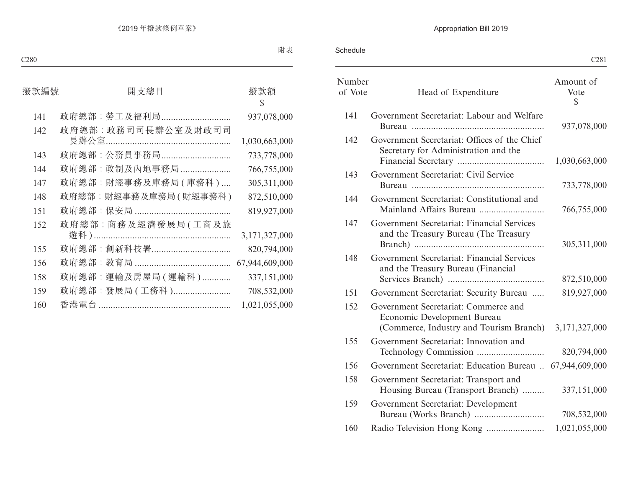Schedule

| C <sub>281</sub>       |                                                                                                                |                   |
|------------------------|----------------------------------------------------------------------------------------------------------------|-------------------|
| Amount of<br>Vote<br>S | Head of Expenditure                                                                                            | Number<br>of Vote |
| 937,078,000            | Government Secretariat: Labour and Welfare                                                                     | 141               |
| 1,030,663,000          | Government Secretariat: Offices of the Chief<br>Secretary for Administration and the                           | 142               |
| 733,778,000            | Government Secretariat: Civil Service                                                                          | 143               |
| 766,755,000            | Government Secretariat: Constitutional and                                                                     | 144               |
| 305,311,000            | Government Secretariat: Financial Services<br>and the Treasury Bureau (The Treasury                            | 147               |
| 872,510,000            | Government Secretariat: Financial Services<br>and the Treasury Bureau (Financial                               | 148               |
| 819,927,000            | Government Secretariat: Security Bureau                                                                        | 151               |
| 3,171,327,000          | Government Secretariat: Commerce and<br>Economic Development Bureau<br>(Commerce, Industry and Tourism Branch) | 152               |
| 820,794,000            | Government Secretariat: Innovation and                                                                         | 155               |
| 67,944,609,000         | Government Secretariat: Education Bureau                                                                       | 156               |
| 337,151,000            | Government Secretariat: Transport and<br>Housing Bureau (Transport Branch)                                     | 158               |
| 708,532,000            | Government Secretariat: Development                                                                            | 159               |
| 1,021,055,000          |                                                                                                                | 160               |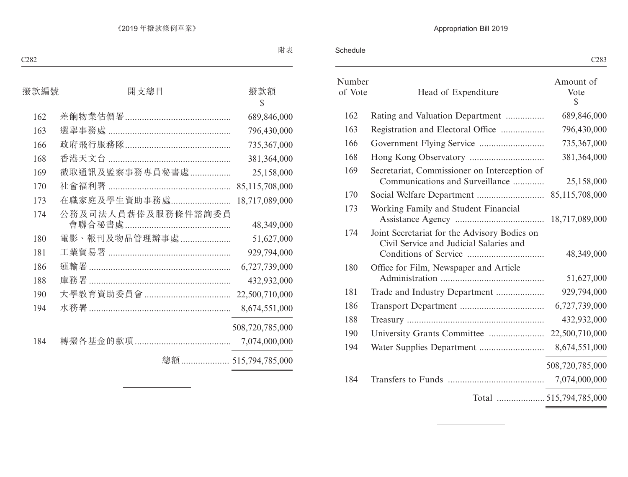Schedule

| C <sub>28</sub> 3                               |                                                                                         |                   |
|-------------------------------------------------|-----------------------------------------------------------------------------------------|-------------------|
| Amount of<br>Vote<br>S.                         | Head of Expenditure                                                                     | Number<br>of Vote |
| 689,846,000                                     | Rating and Valuation Department                                                         | 162               |
| 796,430,000                                     | Registration and Electoral Office                                                       | 163               |
| 735,367,000                                     |                                                                                         | 166               |
| 381,364,000                                     |                                                                                         | 168               |
| 25,158,000                                      | Secretariat, Commissioner on Interception of<br>Communications and Surveillance         | 169               |
| 85,115,708,000                                  |                                                                                         | 170               |
| 18,717,089,000                                  | Working Family and Student Financial                                                    | 173               |
| 48,349,000                                      | Joint Secretariat for the Advisory Bodies on<br>Civil Service and Judicial Salaries and | 174               |
| 51,627,000                                      | Office for Film, Newspaper and Article                                                  | 180               |
| 929,794,000                                     |                                                                                         | 181               |
| 6,727,739,000                                   |                                                                                         | 186               |
| 432,932,000                                     |                                                                                         | 188               |
|                                                 |                                                                                         | 190               |
| 8,674,551,000                                   |                                                                                         | 194               |
| 508,720,785,000                                 |                                                                                         |                   |
| 7,074,000,000                                   |                                                                                         | 184               |
| the contract of the contract of the contract of |                                                                                         |                   |
|                                                 |                                                                                         |                   |

<u> 1989 - Johann Barnett, fransk politik (</u>

 $\overline{a}$